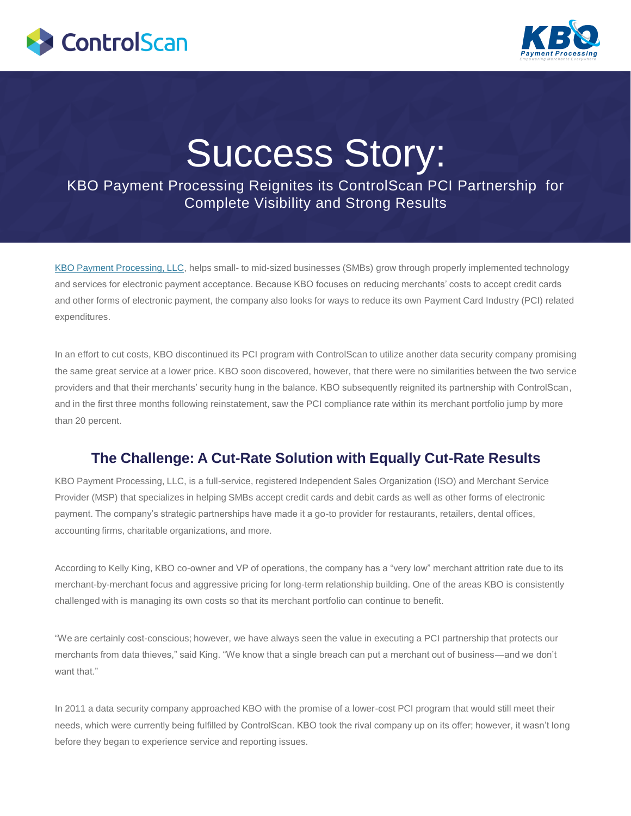



# Success Story:

KBO Payment Processing Reignites its ControlScan PCI Partnership for Complete Visibility and Strong Results

[KBO Payment Processing, LLC,](https://kbopaymentprocessing.com/) helps small- to mid-sized businesses (SMBs) grow through properly implemented technology and services for electronic payment acceptance. Because KBO focuses on reducing merchants" costs to accept credit cards and other forms of electronic payment, the company also looks for ways to reduce its own Payment Card Industry (PCI) related expenditures.

In an effort to cut costs, KBO discontinued its PCI program with ControlScan to utilize another data security company promising the same great service at a lower price. KBO soon discovered, however, that there were no similarities between the two service providers and that their merchants" security hung in the balance. KBO subsequently reignited its partnership with ControlScan, and in the first three months following reinstatement, saw the PCI compliance rate within its merchant portfolio jump by more than 20 percent.

## **The Challenge: A Cut-Rate Solution with Equally Cut-Rate Results**

KBO Payment Processing, LLC, is a full-service, registered Independent Sales Organization (ISO) and Merchant Service Provider (MSP) that specializes in helping SMBs accept credit cards and debit cards as well as other forms of electronic payment. The company"s strategic partnerships have made it a go-to provider for restaurants, retailers, dental offices, accounting firms, charitable organizations, and more.

According to Kelly King, KBO co-owner and VP of operations, the company has a "very low" merchant attrition rate due to its merchant-by-merchant focus and aggressive pricing for long-term relationship building. One of the areas KBO is consistently challenged with is managing its own costs so that its merchant portfolio can continue to benefit.

"We are certainly cost-conscious; however, we have always seen the value in executing a PCI partnership that protects our merchants from data thieves," said King. "We know that a single breach can put a merchant out of business—and we don"t want that."

In 2011 a data security company approached KBO with the promise of a lower-cost PCI program that would still meet their needs, which were currently being fulfilled by ControlScan. KBO took the rival company up on its offer; however, it wasn"t long before they began to experience service and reporting issues.